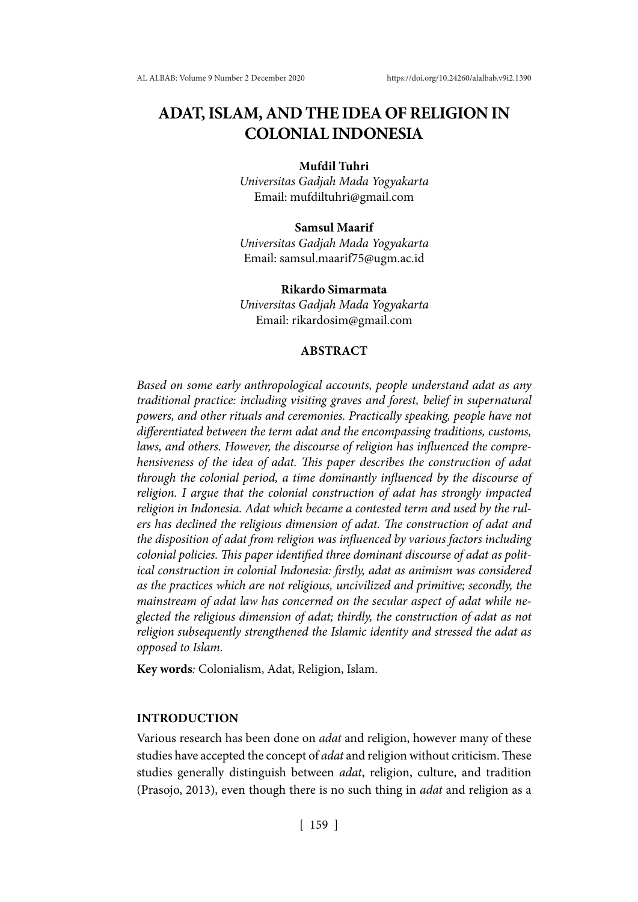# **ADAT, ISLAM, AND THE IDEA OF RELIGION IN COLONIAL INDONESIA**

#### **Mufdil Tuhri**

*Universitas Gadjah Mada Yogyakarta* Email: mufdiltuhri@gmail.com

## **Samsul Maarif**

*Universitas Gadjah Mada Yogyakarta* Email: samsul.maarif75@ugm.ac.id

**Rikardo Simarmata** *Universitas Gadjah Mada Yogyakarta* Email: rikardosim@gmail.com

## **ABSTRACT**

*Based on some early anthropological accounts, people understand adat as any traditional practice: including visiting graves and forest, belief in supernatural powers, and other rituals and ceremonies. Practically speaking, people have not differentiated between the term adat and the encompassing traditions, customs, laws, and others. However, the discourse of religion has influenced the comprehensiveness of the idea of adat. This paper describes the construction of adat through the colonial period, a time dominantly influenced by the discourse of religion. I argue that the colonial construction of adat has strongly impacted religion in Indonesia. Adat which became a contested term and used by the rulers has declined the religious dimension of adat. The construction of adat and the disposition of adat from religion was influenced by various factors including colonial policies. This paper identified three dominant discourse of adat as political construction in colonial Indonesia: firstly, adat as animism was considered as the practices which are not religious, uncivilized and primitive; secondly, the mainstream of adat law has concerned on the secular aspect of adat while neglected the religious dimension of adat; thirdly, the construction of adat as not religion subsequently strengthened the Islamic identity and stressed the adat as opposed to Islam.*

**Key words***:* Colonialism, Adat, Religion, Islam.

#### **INTRODUCTION**

Various research has been done on *adat* and religion, however many of these studies have accepted the concept of *adat* and religion without criticism. These studies generally distinguish between *adat*, religion, culture, and tradition (Prasojo, 2013), even though there is no such thing in *adat* and religion as a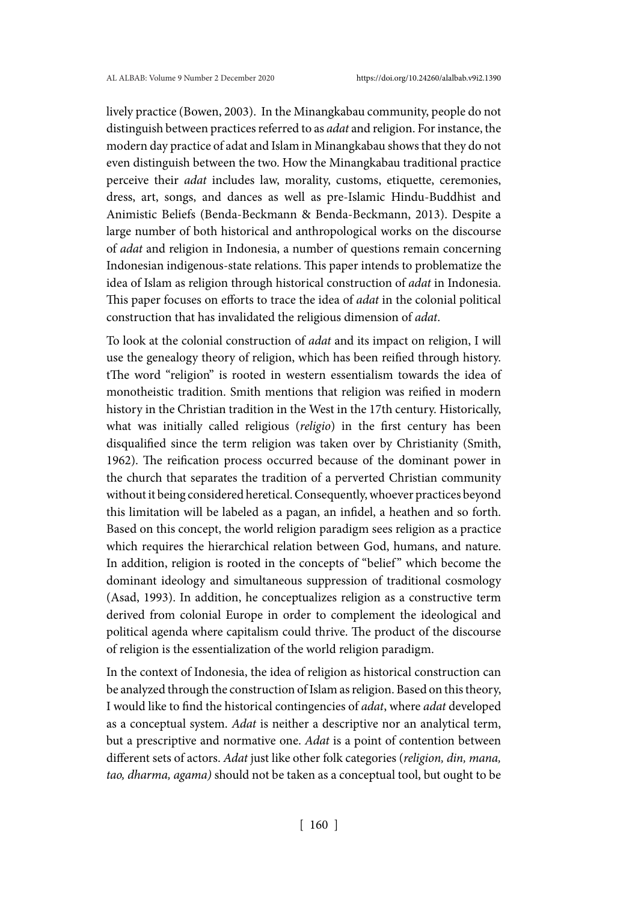lively practice (Bowen, 2003). In the Minangkabau community, people do not distinguish between practices referred to as *adat* and religion. For instance, the modern day practice of adat and Islam in Minangkabau shows that they do not even distinguish between the two. How the Minangkabau traditional practice perceive their *adat* includes law, morality, customs, etiquette, ceremonies, dress, art, songs, and dances as well as pre-Islamic Hindu-Buddhist and Animistic Beliefs (Benda-Beckmann & Benda-Beckmann, 2013). Despite a large number of both historical and anthropological works on the discourse of *adat* and religion in Indonesia, a number of questions remain concerning Indonesian indigenous-state relations. This paper intends to problematize the idea of Islam as religion through historical construction of *adat* in Indonesia. This paper focuses on efforts to trace the idea of *adat* in the colonial political construction that has invalidated the religious dimension of *adat*.

To look at the colonial construction of *adat* and its impact on religion, I will use the genealogy theory of religion, which has been reified through history. tThe word "religion" is rooted in western essentialism towards the idea of monotheistic tradition. Smith mentions that religion was reified in modern history in the Christian tradition in the West in the 17th century. Historically, what was initially called religious (*religio*) in the first century has been disqualified since the term religion was taken over by Christianity (Smith, 1962). The reification process occurred because of the dominant power in the church that separates the tradition of a perverted Christian community without it being considered heretical. Consequently, whoever practices beyond this limitation will be labeled as a pagan, an infidel, a heathen and so forth. Based on this concept, the world religion paradigm sees religion as a practice which requires the hierarchical relation between God, humans, and nature. In addition, religion is rooted in the concepts of "belief" which become the dominant ideology and simultaneous suppression of traditional cosmology (Asad, 1993). In addition, he conceptualizes religion as a constructive term derived from colonial Europe in order to complement the ideological and political agenda where capitalism could thrive. The product of the discourse of religion is the essentialization of the world religion paradigm.

In the context of Indonesia, the idea of religion as historical construction can be analyzed through the construction of Islam as religion. Based on this theory, I would like to find the historical contingencies of *adat*, where *adat* developed as a conceptual system. *Adat* is neither a descriptive nor an analytical term, but a prescriptive and normative one. *Adat* is a point of contention between different sets of actors. *Adat* just like other folk categories (*religion, din, mana, tao, dharma, agama)* should not be taken as a conceptual tool, but ought to be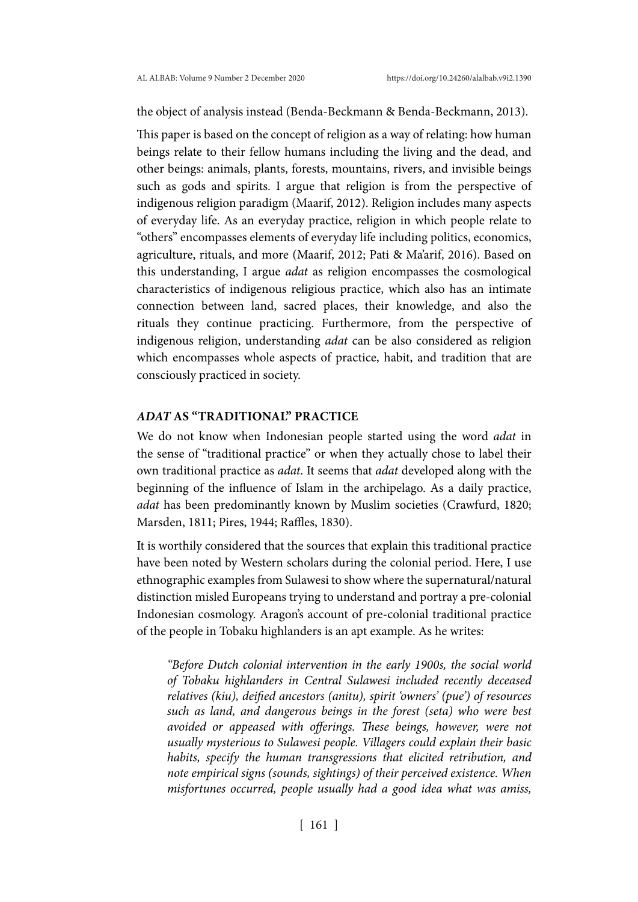the object of analysis instead (Benda-Beckmann & Benda-Beckmann, 2013).

This paper is based on the concept of religion as a way of relating: how human beings relate to their fellow humans including the living and the dead, and other beings: animals, plants, forests, mountains, rivers, and invisible beings such as gods and spirits. I argue that religion is from the perspective of indigenous religion paradigm (Maarif, 2012). Religion includes many aspects of everyday life. As an everyday practice, religion in which people relate to "others" encompasses elements of everyday life including politics, economics, agriculture, rituals, and more (Maarif, 2012; Pati & Ma'arif, 2016). Based on this understanding, I argue *adat* as religion encompasses the cosmological characteristics of indigenous religious practice, which also has an intimate connection between land, sacred places, their knowledge, and also the rituals they continue practicing. Furthermore, from the perspective of indigenous religion, understanding *adat* can be also considered as religion which encompasses whole aspects of practice, habit, and tradition that are consciously practiced in society.

# *ADAT* **AS "TRADITIONAL" PRACTICE**

We do not know when Indonesian people started using the word *adat* in the sense of "traditional practice" or when they actually chose to label their own traditional practice as *adat*. It seems that *adat* developed along with the beginning of the influence of Islam in the archipelago. As a daily practice, *adat* has been predominantly known by Muslim societies (Crawfurd, 1820; Marsden, 1811; Pires, 1944; Raffles, 1830).

It is worthily considered that the sources that explain this traditional practice have been noted by Western scholars during the colonial period. Here, I use ethnographic examples from Sulawesi to show where the supernatural/natural distinction misled Europeans trying to understand and portray a pre-colonial Indonesian cosmology. Aragon's account of pre-colonial traditional practice of the people in Tobaku highlanders is an apt example. As he writes:

*"Before Dutch colonial intervention in the early 1900s, the social world of Tobaku highlanders in Central Sulawesi included recently deceased relatives (kiu), deified ancestors (anitu), spirit 'owners' (pue') of resources such as land, and dangerous beings in the forest (seta) who were best avoided or appeased with offerings. These beings, however, were not usually mysterious to Sulawesi people. Villagers could explain their basic habits, specify the human transgressions that elicited retribution, and note empirical signs (sounds, sightings) of their perceived existence. When misfortunes occurred, people usually had a good idea what was amiss,*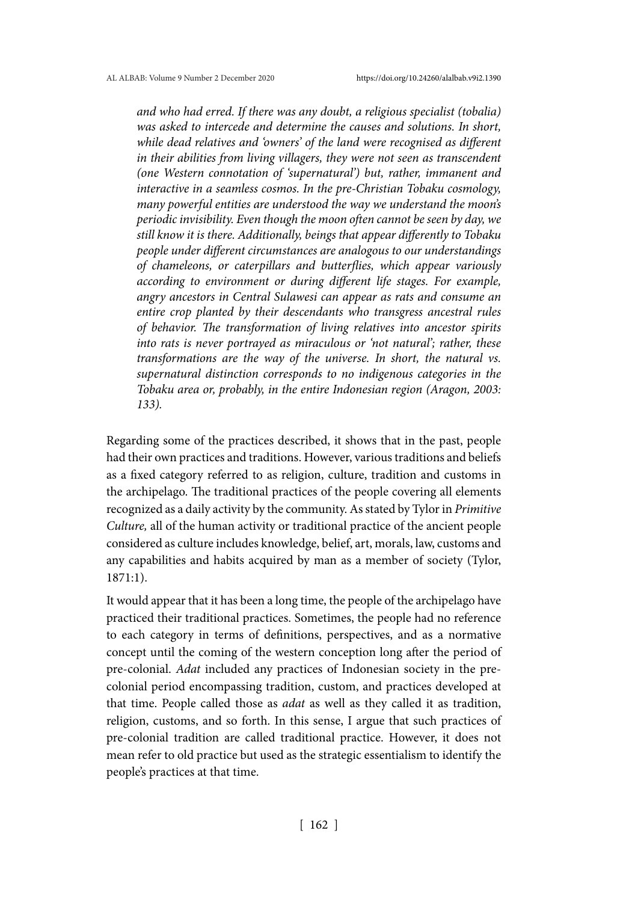*and who had erred. If there was any doubt, a religious specialist (tobalia) was asked to intercede and determine the causes and solutions. In short, while dead relatives and 'owners' of the land were recognised as different in their abilities from living villagers, they were not seen as transcendent (one Western connotation of 'supernatural') but, rather, immanent and interactive in a seamless cosmos. In the pre-Christian Tobaku cosmology, many powerful entities are understood the way we understand the moon's periodic invisibility. Even though the moon often cannot be seen by day, we still know it is there. Additionally, beings that appear differently to Tobaku people under different circumstances are analogous to our understandings of chameleons, or caterpillars and butterflies, which appear variously according to environment or during different life stages. For example, angry ancestors in Central Sulawesi can appear as rats and consume an entire crop planted by their descendants who transgress ancestral rules of behavior. The transformation of living relatives into ancestor spirits into rats is never portrayed as miraculous or 'not natural'; rather, these transformations are the way of the universe. In short, the natural vs. supernatural distinction corresponds to no indigenous categories in the Tobaku area or, probably, in the entire Indonesian region (Aragon, 2003: 133).*

Regarding some of the practices described, it shows that in the past, people had their own practices and traditions. However, various traditions and beliefs as a fixed category referred to as religion, culture, tradition and customs in the archipelago. The traditional practices of the people covering all elements recognized as a daily activity by the community. As stated by Tylor in *Primitive Culture,* all of the human activity or traditional practice of the ancient people considered as culture includes knowledge, belief, art, morals, law, customs and any capabilities and habits acquired by man as a member of society (Tylor, 1871:1).

It would appear that it has been a long time, the people of the archipelago have practiced their traditional practices. Sometimes, the people had no reference to each category in terms of definitions, perspectives, and as a normative concept until the coming of the western conception long after the period of pre-colonial. *Adat* included any practices of Indonesian society in the precolonial period encompassing tradition, custom, and practices developed at that time. People called those as *adat* as well as they called it as tradition, religion, customs, and so forth. In this sense, I argue that such practices of pre-colonial tradition are called traditional practice. However, it does not mean refer to old practice but used as the strategic essentialism to identify the people's practices at that time.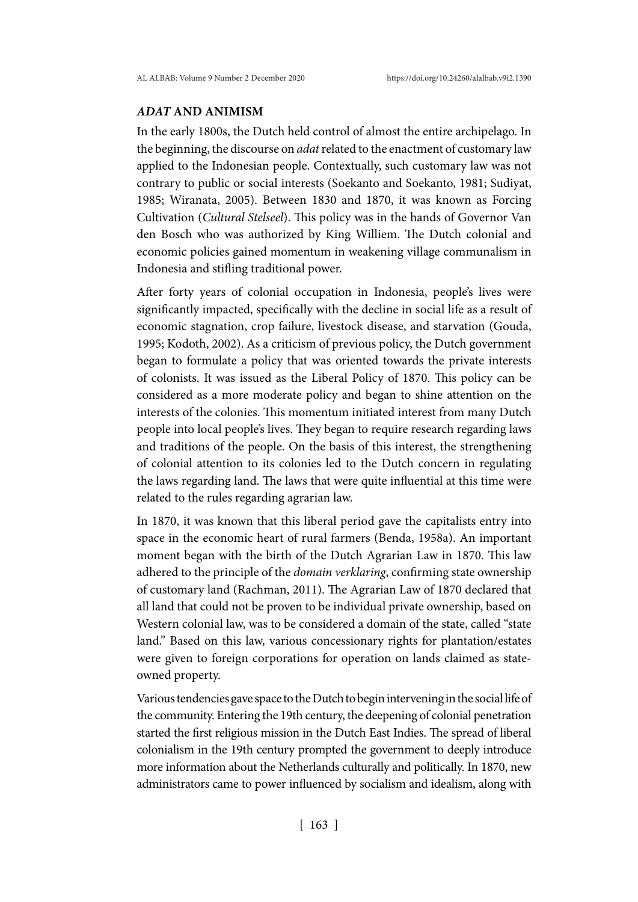## *ADAT* **AND ANIMISM**

In the early 1800s, the Dutch held control of almost the entire archipelago. In the beginning, the discourse on *adat* related to the enactment of customary law applied to the Indonesian people. Contextually, such customary law was not contrary to public or social interests (Soekanto and Soekanto, 1981; Sudiyat, 1985; Wiranata, 2005). Between 1830 and 1870, it was known as Forcing Cultivation (*Cultural Stelseel*). This policy was in the hands of Governor Van den Bosch who was authorized by King Williem. The Dutch colonial and economic policies gained momentum in weakening village communalism in Indonesia and stifling traditional power.

After forty years of colonial occupation in Indonesia, people's lives were significantly impacted, specifically with the decline in social life as a result of economic stagnation, crop failure, livestock disease, and starvation (Gouda, 1995; Kodoth, 2002). As a criticism of previous policy, the Dutch government began to formulate a policy that was oriented towards the private interests of colonists. It was issued as the Liberal Policy of 1870. This policy can be considered as a more moderate policy and began to shine attention on the interests of the colonies. This momentum initiated interest from many Dutch people into local people's lives. They began to require research regarding laws and traditions of the people. On the basis of this interest, the strengthening of colonial attention to its colonies led to the Dutch concern in regulating the laws regarding land. The laws that were quite influential at this time were related to the rules regarding agrarian law.

In 1870, it was known that this liberal period gave the capitalists entry into space in the economic heart of rural farmers (Benda, 1958a). An important moment began with the birth of the Dutch Agrarian Law in 1870. This law adhered to the principle of the *domain verklaring*, confirming state ownership of customary land (Rachman, 2011). The Agrarian Law of 1870 declared that all land that could not be proven to be individual private ownership, based on Western colonial law, was to be considered a domain of the state, called "state land." Based on this law, various concessionary rights for plantation/estates were given to foreign corporations for operation on lands claimed as stateowned property.

Various tendencies gave space to the Dutch to begin intervening in the social life of the community. Entering the 19th century, the deepening of colonial penetration started the first religious mission in the Dutch East Indies. The spread of liberal colonialism in the 19th century prompted the government to deeply introduce more information about the Netherlands culturally and politically. In 1870, new administrators came to power influenced by socialism and idealism, along with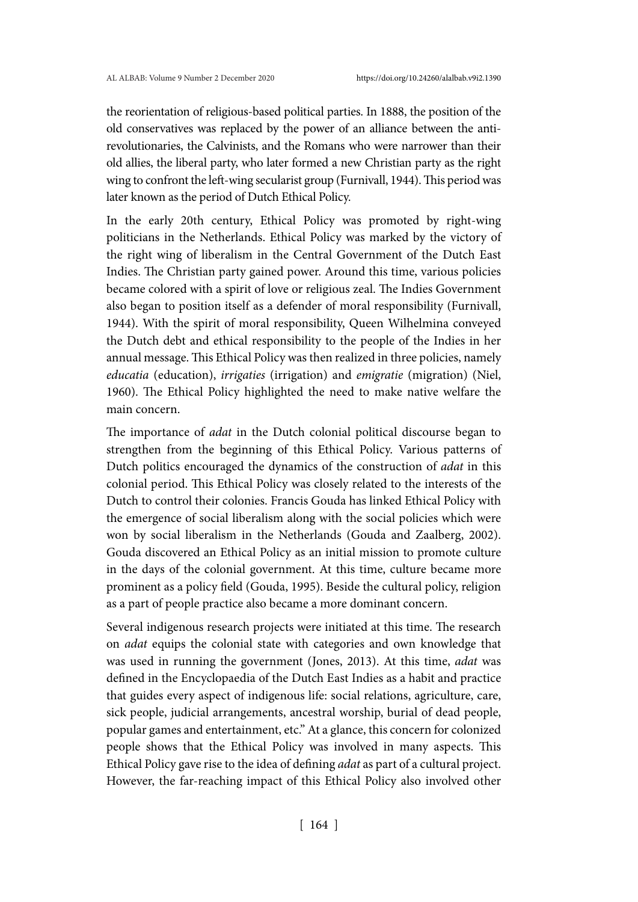the reorientation of religious-based political parties. In 1888, the position of the old conservatives was replaced by the power of an alliance between the antirevolutionaries, the Calvinists, and the Romans who were narrower than their old allies, the liberal party, who later formed a new Christian party as the right wing to confront the left-wing secularist group (Furnivall, 1944). This period was later known as the period of Dutch Ethical Policy.

In the early 20th century, Ethical Policy was promoted by right-wing politicians in the Netherlands. Ethical Policy was marked by the victory of the right wing of liberalism in the Central Government of the Dutch East Indies. The Christian party gained power. Around this time, various policies became colored with a spirit of love or religious zeal. The Indies Government also began to position itself as a defender of moral responsibility (Furnivall, 1944). With the spirit of moral responsibility, Queen Wilhelmina conveyed the Dutch debt and ethical responsibility to the people of the Indies in her annual message. This Ethical Policy was then realized in three policies, namely *educatia* (education), *irrigaties* (irrigation) and *emigratie* (migration) (Niel, 1960). The Ethical Policy highlighted the need to make native welfare the main concern.

The importance of *adat* in the Dutch colonial political discourse began to strengthen from the beginning of this Ethical Policy. Various patterns of Dutch politics encouraged the dynamics of the construction of *adat* in this colonial period. This Ethical Policy was closely related to the interests of the Dutch to control their colonies. Francis Gouda has linked Ethical Policy with the emergence of social liberalism along with the social policies which were won by social liberalism in the Netherlands (Gouda and Zaalberg, 2002). Gouda discovered an Ethical Policy as an initial mission to promote culture in the days of the colonial government. At this time, culture became more prominent as a policy field (Gouda, 1995). Beside the cultural policy, religion as a part of people practice also became a more dominant concern.

Several indigenous research projects were initiated at this time. The research on *adat* equips the colonial state with categories and own knowledge that was used in running the government (Jones, 2013). At this time, *adat* was defined in the Encyclopaedia of the Dutch East Indies as a habit and practice that guides every aspect of indigenous life: social relations, agriculture, care, sick people, judicial arrangements, ancestral worship, burial of dead people, popular games and entertainment, etc." At a glance, this concern for colonized people shows that the Ethical Policy was involved in many aspects. This Ethical Policy gave rise to the idea of defining *adat* as part of a cultural project. However, the far-reaching impact of this Ethical Policy also involved other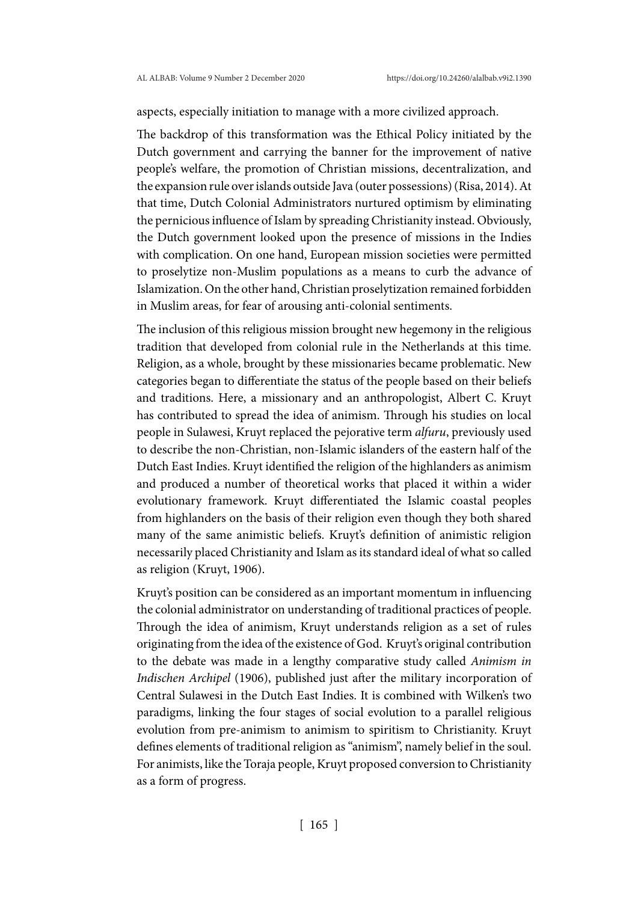aspects, especially initiation to manage with a more civilized approach.

The backdrop of this transformation was the Ethical Policy initiated by the Dutch government and carrying the banner for the improvement of native people's welfare, the promotion of Christian missions, decentralization, and the expansion rule over islands outside Java (outer possessions) (Risa, 2014). At that time, Dutch Colonial Administrators nurtured optimism by eliminating the pernicious influence of Islam by spreading Christianity instead. Obviously, the Dutch government looked upon the presence of missions in the Indies with complication. On one hand, European mission societies were permitted to proselytize non-Muslim populations as a means to curb the advance of Islamization. On the other hand, Christian proselytization remained forbidden in Muslim areas, for fear of arousing anti-colonial sentiments.

The inclusion of this religious mission brought new hegemony in the religious tradition that developed from colonial rule in the Netherlands at this time. Religion, as a whole, brought by these missionaries became problematic. New categories began to differentiate the status of the people based on their beliefs and traditions. Here, a missionary and an anthropologist, Albert C. Kruyt has contributed to spread the idea of animism. Through his studies on local people in Sulawesi, Kruyt replaced the pejorative term *alfuru*, previously used to describe the non-Christian, non-Islamic islanders of the eastern half of the Dutch East Indies. Kruyt identified the religion of the highlanders as animism and produced a number of theoretical works that placed it within a wider evolutionary framework. Kruyt differentiated the Islamic coastal peoples from highlanders on the basis of their religion even though they both shared many of the same animistic beliefs. Kruyt's definition of animistic religion necessarily placed Christianity and Islam as its standard ideal of what so called as religion (Kruyt, 1906).

Kruyt's position can be considered as an important momentum in influencing the colonial administrator on understanding of traditional practices of people. Through the idea of animism, Kruyt understands religion as a set of rules originating from the idea of the existence of God. Kruyt's original contribution to the debate was made in a lengthy comparative study called *Animism in Indischen Archipel* (1906), published just after the military incorporation of Central Sulawesi in the Dutch East Indies. It is combined with Wilken's two paradigms, linking the four stages of social evolution to a parallel religious evolution from pre-animism to animism to spiritism to Christianity. Kruyt defines elements of traditional religion as "animism", namely belief in the soul. For animists, like the Toraja people, Kruyt proposed conversion to Christianity as a form of progress.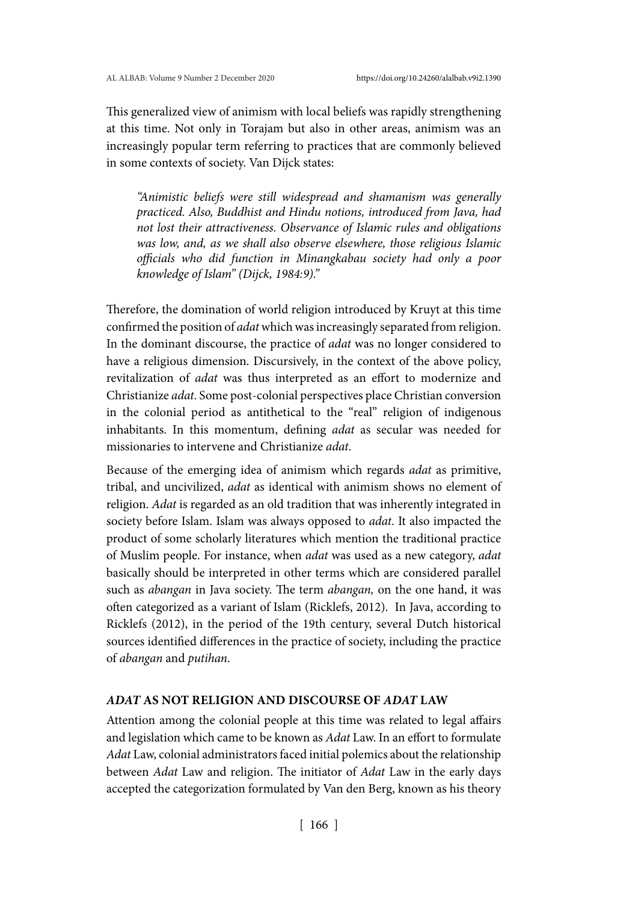This generalized view of animism with local beliefs was rapidly strengthening at this time. Not only in Torajam but also in other areas, animism was an increasingly popular term referring to practices that are commonly believed in some contexts of society. Van Dijck states:

*"Animistic beliefs were still widespread and shamanism was generally practiced. Also, Buddhist and Hindu notions, introduced from Java, had not lost their attractiveness. Observance of Islamic rules and obligations was low, and, as we shall also observe elsewhere, those religious Islamic officials who did function in Minangkabau society had only a poor knowledge of Islam" (Dijck, 1984:9)."*

Therefore, the domination of world religion introduced by Kruyt at this time confirmed the position of *adat* which was increasingly separated from religion. In the dominant discourse, the practice of *adat* was no longer considered to have a religious dimension. Discursively, in the context of the above policy, revitalization of *adat* was thus interpreted as an effort to modernize and Christianize *adat*. Some post-colonial perspectives place Christian conversion in the colonial period as antithetical to the "real" religion of indigenous inhabitants. In this momentum, defining *adat* as secular was needed for missionaries to intervene and Christianize *adat*.

Because of the emerging idea of animism which regards *adat* as primitive, tribal, and uncivilized, *adat* as identical with animism shows no element of religion. *Adat* is regarded as an old tradition that was inherently integrated in society before Islam. Islam was always opposed to *adat*. It also impacted the product of some scholarly literatures which mention the traditional practice of Muslim people. For instance, when *adat* was used as a new category, *adat* basically should be interpreted in other terms which are considered parallel such as *abangan* in Java society. The term *abangan,* on the one hand, it was often categorized as a variant of Islam (Ricklefs, 2012). In Java, according to Ricklefs (2012), in the period of the 19th century, several Dutch historical sources identified differences in the practice of society, including the practice of *abangan* and *putihan*.

## *ADAT* **AS NOT RELIGION AND DISCOURSE OF** *ADAT* **LAW**

Attention among the colonial people at this time was related to legal affairs and legislation which came to be known as *Adat* Law. In an effort to formulate *Adat* Law, colonial administrators faced initial polemics about the relationship between *Adat* Law and religion. The initiator of *Adat* Law in the early days accepted the categorization formulated by Van den Berg, known as his theory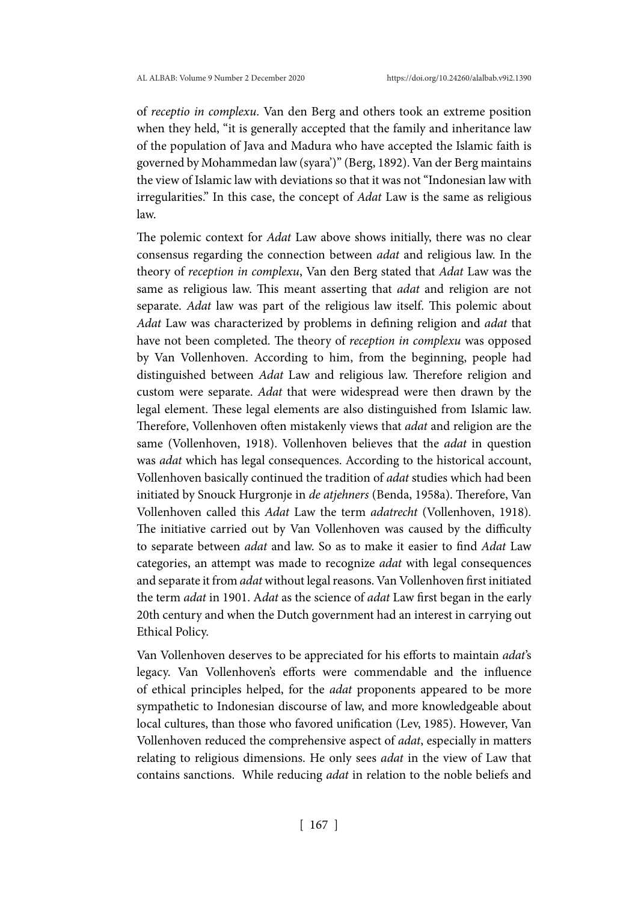of *receptio in complexu*. Van den Berg and others took an extreme position when they held, "it is generally accepted that the family and inheritance law of the population of Java and Madura who have accepted the Islamic faith is governed by Mohammedan law (syara')" (Berg, 1892). Van der Berg maintains the view of Islamic law with deviations so that it was not "Indonesian law with irregularities." In this case, the concept of *Adat* Law is the same as religious law.

The polemic context for *Adat* Law above shows initially, there was no clear consensus regarding the connection between *adat* and religious law. In the theory of *reception in complexu*, Van den Berg stated that *Adat* Law was the same as religious law. This meant asserting that *adat* and religion are not separate. *Adat* law was part of the religious law itself. This polemic about *Adat* Law was characterized by problems in defining religion and *adat* that have not been completed. The theory of *reception in complexu* was opposed by Van Vollenhoven. According to him, from the beginning, people had distinguished between *Adat* Law and religious law. Therefore religion and custom were separate. *Adat* that were widespread were then drawn by the legal element. These legal elements are also distinguished from Islamic law. Therefore, Vollenhoven often mistakenly views that *adat* and religion are the same (Vollenhoven, 1918). Vollenhoven believes that the *adat* in question was *adat* which has legal consequences. According to the historical account, Vollenhoven basically continued the tradition of *adat* studies which had been initiated by Snouck Hurgronje in *de atjehners* (Benda, 1958a). Therefore, Van Vollenhoven called this *Adat* Law the term *adatrecht* (Vollenhoven, 1918)*.*  The initiative carried out by Van Vollenhoven was caused by the difficulty to separate between *adat* and law. So as to make it easier to find *Adat* Law categories, an attempt was made to recognize *adat* with legal consequences and separate it from *adat* without legal reasons. Van Vollenhoven first initiated the term *adat* in 1901. A*dat* as the science of *adat* Law first began in the early 20th century and when the Dutch government had an interest in carrying out Ethical Policy.

Van Vollenhoven deserves to be appreciated for his efforts to maintain *adat*'s legacy. Van Vollenhoven's efforts were commendable and the influence of ethical principles helped, for the *adat* proponents appeared to be more sympathetic to Indonesian discourse of law, and more knowledgeable about local cultures, than those who favored unification (Lev, 1985). However, Van Vollenhoven reduced the comprehensive aspect of *adat*, especially in matters relating to religious dimensions. He only sees *adat* in the view of Law that contains sanctions. While reducing *adat* in relation to the noble beliefs and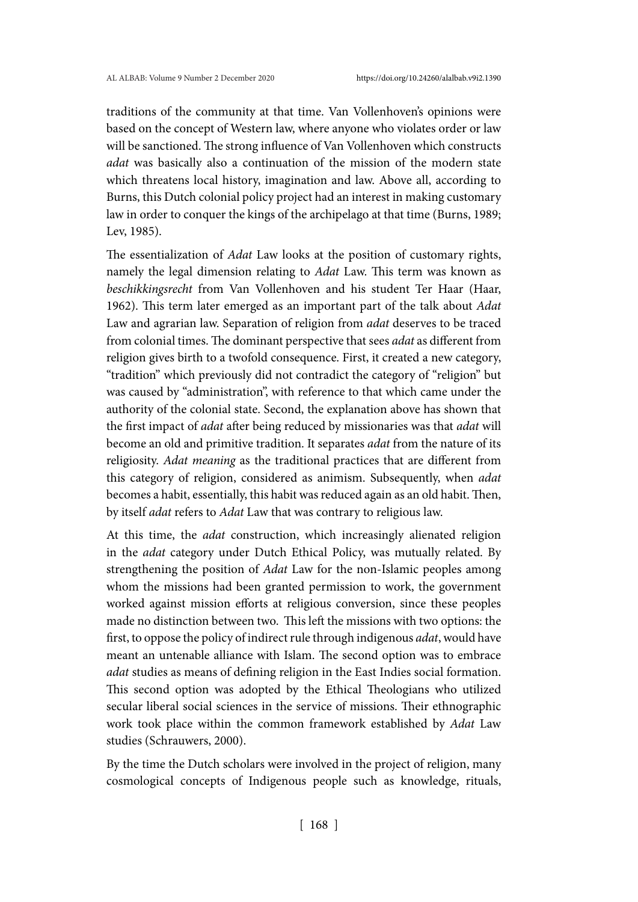traditions of the community at that time. Van Vollenhoven's opinions were based on the concept of Western law, where anyone who violates order or law will be sanctioned. The strong influence of Van Vollenhoven which constructs *adat* was basically also a continuation of the mission of the modern state which threatens local history, imagination and law. Above all, according to Burns, this Dutch colonial policy project had an interest in making customary law in order to conquer the kings of the archipelago at that time (Burns, 1989; Lev, 1985).

The essentialization of *Adat* Law looks at the position of customary rights, namely the legal dimension relating to *Adat* Law. This term was known as *beschikkingsrecht* from Van Vollenhoven and his student Ter Haar (Haar, 1962). This term later emerged as an important part of the talk about *Adat* Law and agrarian law. Separation of religion from *adat* deserves to be traced from colonial times. The dominant perspective that sees *adat* as different from religion gives birth to a twofold consequence. First, it created a new category, "tradition" which previously did not contradict the category of "religion" but was caused by "administration", with reference to that which came under the authority of the colonial state. Second, the explanation above has shown that the first impact of *adat* after being reduced by missionaries was that *adat* will become an old and primitive tradition. It separates *adat* from the nature of its religiosity. *Adat meaning* as the traditional practices that are different from this category of religion, considered as animism. Subsequently, when *adat* becomes a habit, essentially, this habit was reduced again as an old habit. Then, by itself *adat* refers to *Adat* Law that was contrary to religious law.

At this time, the *adat* construction, which increasingly alienated religion in the *adat* category under Dutch Ethical Policy, was mutually related. By strengthening the position of *Adat* Law for the non-Islamic peoples among whom the missions had been granted permission to work, the government worked against mission efforts at religious conversion, since these peoples made no distinction between two. This left the missions with two options: the first, to oppose the policy of indirect rule through indigenous *adat*, would have meant an untenable alliance with Islam. The second option was to embrace *adat* studies as means of defining religion in the East Indies social formation. This second option was adopted by the Ethical Theologians who utilized secular liberal social sciences in the service of missions. Their ethnographic work took place within the common framework established by *Adat* Law studies (Schrauwers, 2000).

By the time the Dutch scholars were involved in the project of religion, many cosmological concepts of Indigenous people such as knowledge, rituals,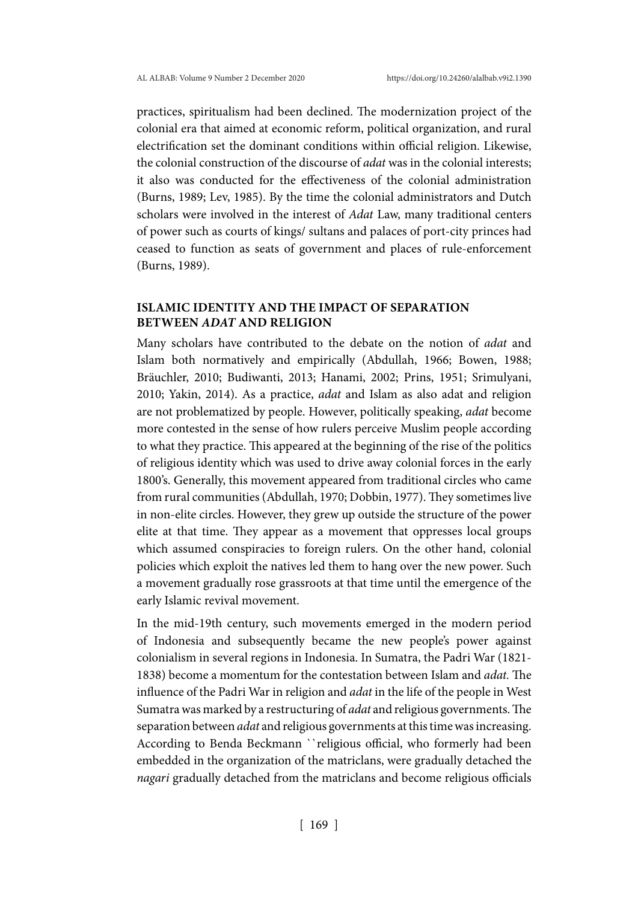practices, spiritualism had been declined. The modernization project of the colonial era that aimed at economic reform, political organization, and rural electrification set the dominant conditions within official religion. Likewise, the colonial construction of the discourse of *adat* was in the colonial interests; it also was conducted for the effectiveness of the colonial administration (Burns, 1989; Lev, 1985). By the time the colonial administrators and Dutch scholars were involved in the interest of *Adat* Law, many traditional centers of power such as courts of kings/ sultans and palaces of port-city princes had ceased to function as seats of government and places of rule-enforcement (Burns, 1989).

## **ISLAMIC IDENTITY AND THE IMPACT OF SEPARATION BETWEEN** *ADAT* **AND RELIGION**

Many scholars have contributed to the debate on the notion of *adat* and Islam both normatively and empirically (Abdullah, 1966; Bowen, 1988; Bräuchler, 2010; Budiwanti, 2013; Hanami, 2002; Prins, 1951; Srimulyani, 2010; Yakin, 2014). As a practice, *adat* and Islam as also adat and religion are not problematized by people. However, politically speaking, *adat* become more contested in the sense of how rulers perceive Muslim people according to what they practice. This appeared at the beginning of the rise of the politics of religious identity which was used to drive away colonial forces in the early 1800's. Generally, this movement appeared from traditional circles who came from rural communities (Abdullah, 1970; Dobbin, 1977). They sometimes live in non-elite circles. However, they grew up outside the structure of the power elite at that time. They appear as a movement that oppresses local groups which assumed conspiracies to foreign rulers. On the other hand, colonial policies which exploit the natives led them to hang over the new power. Such a movement gradually rose grassroots at that time until the emergence of the early Islamic revival movement.

In the mid-19th century, such movements emerged in the modern period of Indonesia and subsequently became the new people's power against colonialism in several regions in Indonesia. In Sumatra, the Padri War (1821- 1838) become a momentum for the contestation between Islam and *adat.* The influence of the Padri War in religion and *adat* in the life of the people in West Sumatra was marked by a restructuring of *adat* and religious governments. The separation between *adat* and religious governments at this time was increasing. According to Benda Beckmann ``religious official, who formerly had been embedded in the organization of the matriclans, were gradually detached the *nagari* gradually detached from the matriclans and become religious officials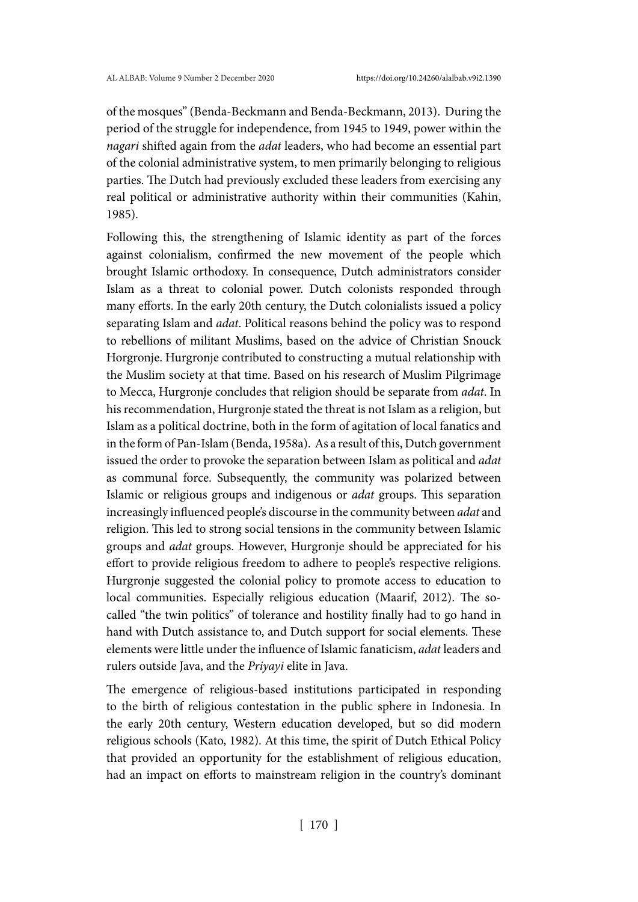of the mosques" (Benda-Beckmann and Benda-Beckmann, 2013). During the period of the struggle for independence, from 1945 to 1949, power within the *nagari* shifted again from the *adat* leaders, who had become an essential part of the colonial administrative system, to men primarily belonging to religious parties. The Dutch had previously excluded these leaders from exercising any real political or administrative authority within their communities (Kahin, 1985).

Following this, the strengthening of Islamic identity as part of the forces against colonialism, confirmed the new movement of the people which brought Islamic orthodoxy. In consequence, Dutch administrators consider Islam as a threat to colonial power. Dutch colonists responded through many efforts. In the early 20th century, the Dutch colonialists issued a policy separating Islam and *adat*. Political reasons behind the policy was to respond to rebellions of militant Muslims, based on the advice of Christian Snouck Horgronje. Hurgronje contributed to constructing a mutual relationship with the Muslim society at that time. Based on his research of Muslim Pilgrimage to Mecca, Hurgronje concludes that religion should be separate from *adat*. In his recommendation, Hurgronje stated the threat is not Islam as a religion, but Islam as a political doctrine, both in the form of agitation of local fanatics and in the form of Pan-Islam (Benda, 1958a). As a result of this, Dutch government issued the order to provoke the separation between Islam as political and *adat*  as communal force. Subsequently, the community was polarized between Islamic or religious groups and indigenous or *adat* groups. This separation increasingly influenced people's discourse in the community between *adat* and religion. This led to strong social tensions in the community between Islamic groups and *adat* groups. However, Hurgronje should be appreciated for his effort to provide religious freedom to adhere to people's respective religions. Hurgronje suggested the colonial policy to promote access to education to local communities. Especially religious education (Maarif, 2012). The socalled "the twin politics" of tolerance and hostility finally had to go hand in hand with Dutch assistance to, and Dutch support for social elements. These elements were little under the influence of Islamic fanaticism, *adat* leaders and rulers outside Java, and the *Priyayi* elite in Java.

The emergence of religious-based institutions participated in responding to the birth of religious contestation in the public sphere in Indonesia. In the early 20th century, Western education developed, but so did modern religious schools (Kato, 1982). At this time, the spirit of Dutch Ethical Policy that provided an opportunity for the establishment of religious education, had an impact on efforts to mainstream religion in the country's dominant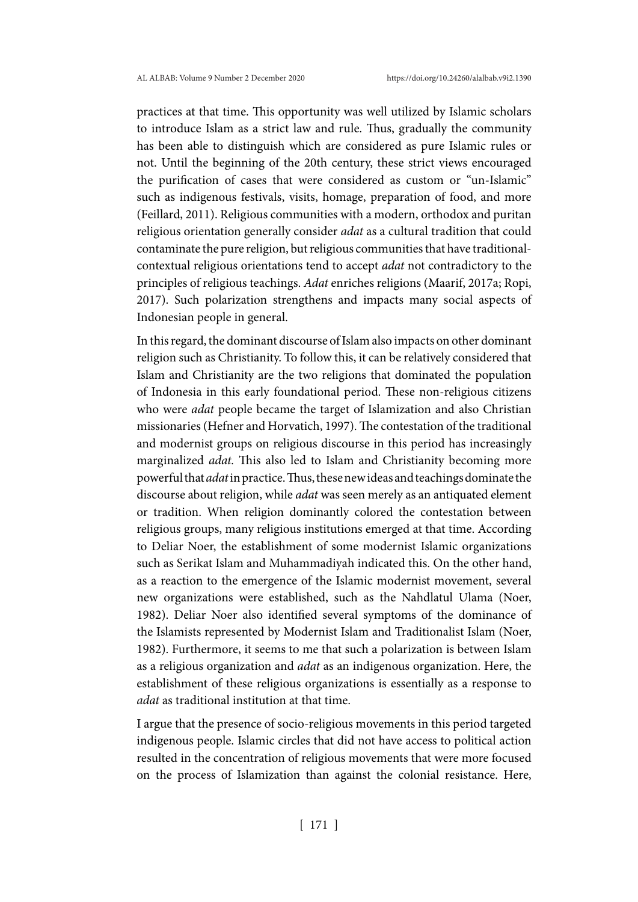practices at that time. This opportunity was well utilized by Islamic scholars to introduce Islam as a strict law and rule. Thus, gradually the community has been able to distinguish which are considered as pure Islamic rules or not. Until the beginning of the 20th century, these strict views encouraged the purification of cases that were considered as custom or "un-Islamic" such as indigenous festivals, visits, homage, preparation of food, and more (Feillard, 2011). Religious communities with a modern, orthodox and puritan religious orientation generally consider *adat* as a cultural tradition that could contaminate the pure religion, but religious communities that have traditionalcontextual religious orientations tend to accept *adat* not contradictory to the principles of religious teachings. *Adat* enriches religions (Maarif, 2017a; Ropi, 2017). Such polarization strengthens and impacts many social aspects of Indonesian people in general.

In this regard, the dominant discourse of Islam also impacts on other dominant religion such as Christianity. To follow this, it can be relatively considered that Islam and Christianity are the two religions that dominated the population of Indonesia in this early foundational period. These non-religious citizens who were *adat* people became the target of Islamization and also Christian missionaries (Hefner and Horvatich, 1997). The contestation of the traditional and modernist groups on religious discourse in this period has increasingly marginalized *adat.* This also led to Islam and Christianity becoming more powerful that *adat* in practice. Thus, these new ideas and teachings dominate the discourse about religion, while *adat* was seen merely as an antiquated element or tradition. When religion dominantly colored the contestation between religious groups, many religious institutions emerged at that time. According to Deliar Noer, the establishment of some modernist Islamic organizations such as Serikat Islam and Muhammadiyah indicated this. On the other hand, as a reaction to the emergence of the Islamic modernist movement, several new organizations were established, such as the Nahdlatul Ulama (Noer, 1982). Deliar Noer also identified several symptoms of the dominance of the Islamists represented by Modernist Islam and Traditionalist Islam (Noer, 1982). Furthermore, it seems to me that such a polarization is between Islam as a religious organization and *adat* as an indigenous organization. Here, the establishment of these religious organizations is essentially as a response to *adat* as traditional institution at that time.

I argue that the presence of socio-religious movements in this period targeted indigenous people. Islamic circles that did not have access to political action resulted in the concentration of religious movements that were more focused on the process of Islamization than against the colonial resistance. Here,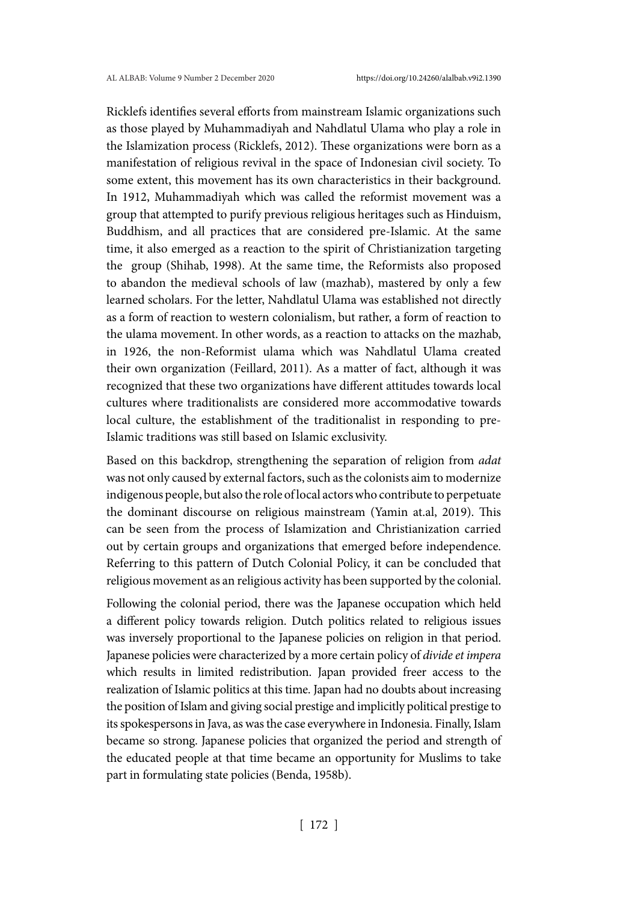Ricklefs identifies several efforts from mainstream Islamic organizations such as those played by Muhammadiyah and Nahdlatul Ulama who play a role in the Islamization process (Ricklefs, 2012). These organizations were born as a manifestation of religious revival in the space of Indonesian civil society. To some extent, this movement has its own characteristics in their background. In 1912, Muhammadiyah which was called the reformist movement was a group that attempted to purify previous religious heritages such as Hinduism, Buddhism, and all practices that are considered pre-Islamic. At the same time, it also emerged as a reaction to the spirit of Christianization targeting the group (Shihab, 1998). At the same time, the Reformists also proposed to abandon the medieval schools of law (mazhab), mastered by only a few learned scholars. For the letter, Nahdlatul Ulama was established not directly as a form of reaction to western colonialism, but rather, a form of reaction to the ulama movement. In other words, as a reaction to attacks on the mazhab, in 1926, the non-Reformist ulama which was Nahdlatul Ulama created their own organization (Feillard, 2011). As a matter of fact, although it was recognized that these two organizations have different attitudes towards local cultures where traditionalists are considered more accommodative towards local culture, the establishment of the traditionalist in responding to pre-Islamic traditions was still based on Islamic exclusivity.

Based on this backdrop, strengthening the separation of religion from *adat* was not only caused by external factors, such as the colonists aim to modernize indigenous people, but also the role of local actors who contribute to perpetuate the dominant discourse on religious mainstream (Yamin at.al, 2019). This can be seen from the process of Islamization and Christianization carried out by certain groups and organizations that emerged before independence. Referring to this pattern of Dutch Colonial Policy, it can be concluded that religious movement as an religious activity has been supported by the colonial.

Following the colonial period, there was the Japanese occupation which held a different policy towards religion. Dutch politics related to religious issues was inversely proportional to the Japanese policies on religion in that period. Japanese policies were characterized by a more certain policy of *divide et impera* which results in limited redistribution. Japan provided freer access to the realization of Islamic politics at this time. Japan had no doubts about increasing the position of Islam and giving social prestige and implicitly political prestige to its spokespersons in Java, as was the case everywhere in Indonesia. Finally, Islam became so strong. Japanese policies that organized the period and strength of the educated people at that time became an opportunity for Muslims to take part in formulating state policies (Benda, 1958b).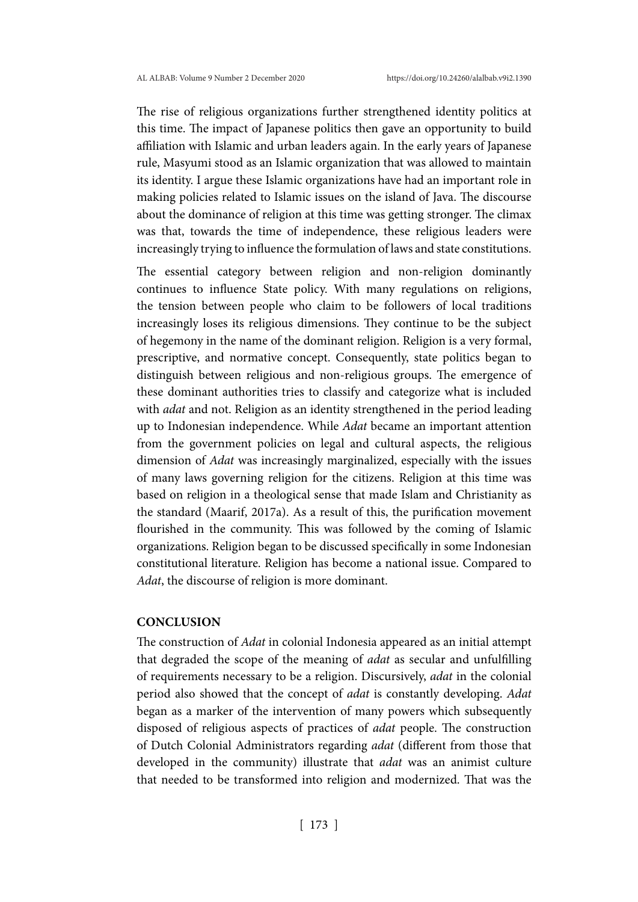The rise of religious organizations further strengthened identity politics at this time. The impact of Japanese politics then gave an opportunity to build affiliation with Islamic and urban leaders again. In the early years of Japanese rule, Masyumi stood as an Islamic organization that was allowed to maintain its identity. I argue these Islamic organizations have had an important role in making policies related to Islamic issues on the island of Java. The discourse about the dominance of religion at this time was getting stronger. The climax was that, towards the time of independence, these religious leaders were increasingly trying to influence the formulation of laws and state constitutions.

The essential category between religion and non-religion dominantly continues to influence State policy. With many regulations on religions, the tension between people who claim to be followers of local traditions increasingly loses its religious dimensions. They continue to be the subject of hegemony in the name of the dominant religion. Religion is a very formal, prescriptive, and normative concept. Consequently, state politics began to distinguish between religious and non-religious groups. The emergence of these dominant authorities tries to classify and categorize what is included with *adat* and not. Religion as an identity strengthened in the period leading up to Indonesian independence. While *Adat* became an important attention from the government policies on legal and cultural aspects, the religious dimension of *Adat* was increasingly marginalized, especially with the issues of many laws governing religion for the citizens. Religion at this time was based on religion in a theological sense that made Islam and Christianity as the standard (Maarif, 2017a). As a result of this, the purification movement flourished in the community. This was followed by the coming of Islamic organizations. Religion began to be discussed specifically in some Indonesian constitutional literature. Religion has become a national issue. Compared to *Adat*, the discourse of religion is more dominant.

## **CONCLUSION**

The construction of *Adat* in colonial Indonesia appeared as an initial attempt that degraded the scope of the meaning of *adat* as secular and unfulfilling of requirements necessary to be a religion. Discursively, *adat* in the colonial period also showed that the concept of *adat* is constantly developing. *Adat* began as a marker of the intervention of many powers which subsequently disposed of religious aspects of practices of *adat* people. The construction of Dutch Colonial Administrators regarding *adat* (different from those that developed in the community) illustrate that *adat* was an animist culture that needed to be transformed into religion and modernized. That was the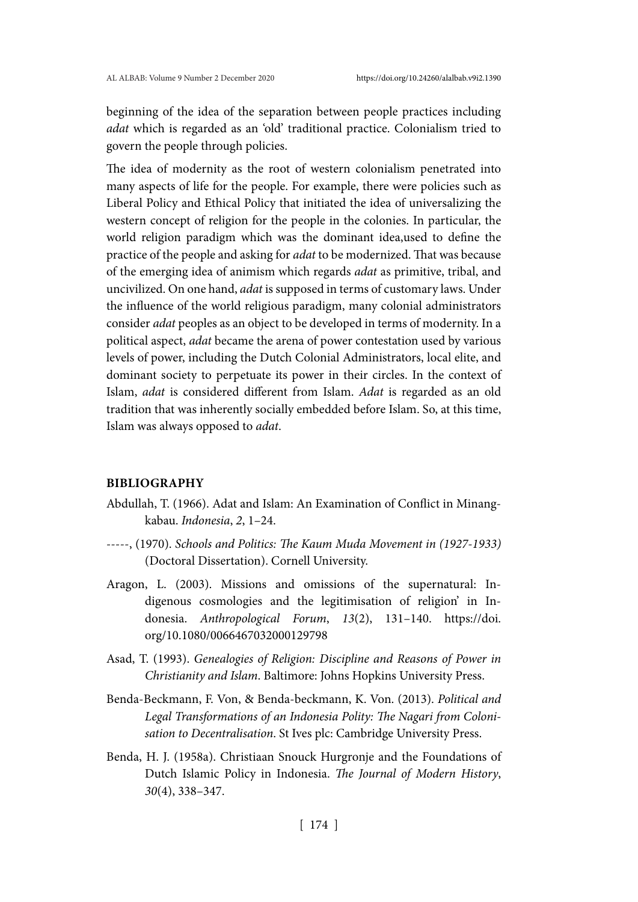beginning of the idea of the separation between people practices including *adat* which is regarded as an 'old' traditional practice. Colonialism tried to govern the people through policies.

The idea of modernity as the root of western colonialism penetrated into many aspects of life for the people. For example, there were policies such as Liberal Policy and Ethical Policy that initiated the idea of universalizing the western concept of religion for the people in the colonies. In particular, the world religion paradigm which was the dominant idea,used to define the practice of the people and asking for *adat* to be modernized. That was because of the emerging idea of animism which regards *adat* as primitive, tribal, and uncivilized. On one hand, *adat* is supposed in terms of customary laws. Under the influence of the world religious paradigm, many colonial administrators consider *adat* peoples as an object to be developed in terms of modernity. In a political aspect, *adat* became the arena of power contestation used by various levels of power, including the Dutch Colonial Administrators, local elite, and dominant society to perpetuate its power in their circles. In the context of Islam, *adat* is considered different from Islam. *Adat* is regarded as an old tradition that was inherently socially embedded before Islam. So, at this time, Islam was always opposed to *adat*.

#### **BIBLIOGRAPHY**

- Abdullah, T. (1966). Adat and Islam: An Examination of Conflict in Minangkabau. *Indonesia*, *2*, 1–24.
- -----, (1970). *Schools and Politics: The Kaum Muda Movement in (1927-1933)* (Doctoral Dissertation). Cornell University.
- Aragon, L. (2003). Missions and omissions of the supernatural: Indigenous cosmologies and the legitimisation of religion' in Indonesia. *Anthropological Forum*, *13*(2), 131–140. https://doi. org/10.1080/0066467032000129798
- Asad, T. (1993). *Genealogies of Religion: Discipline and Reasons of Power in Christianity and Islam*. Baltimore: Johns Hopkins University Press.
- Benda-Beckmann, F. Von, & Benda-beckmann, K. Von. (2013). *Political and Legal Transformations of an Indonesia Polity: The Nagari from Colonisation to Decentralisation*. St Ives plc: Cambridge University Press.
- Benda, H. J. (1958a). Christiaan Snouck Hurgronje and the Foundations of Dutch Islamic Policy in Indonesia. *The Journal of Modern History*, *30*(4), 338–347.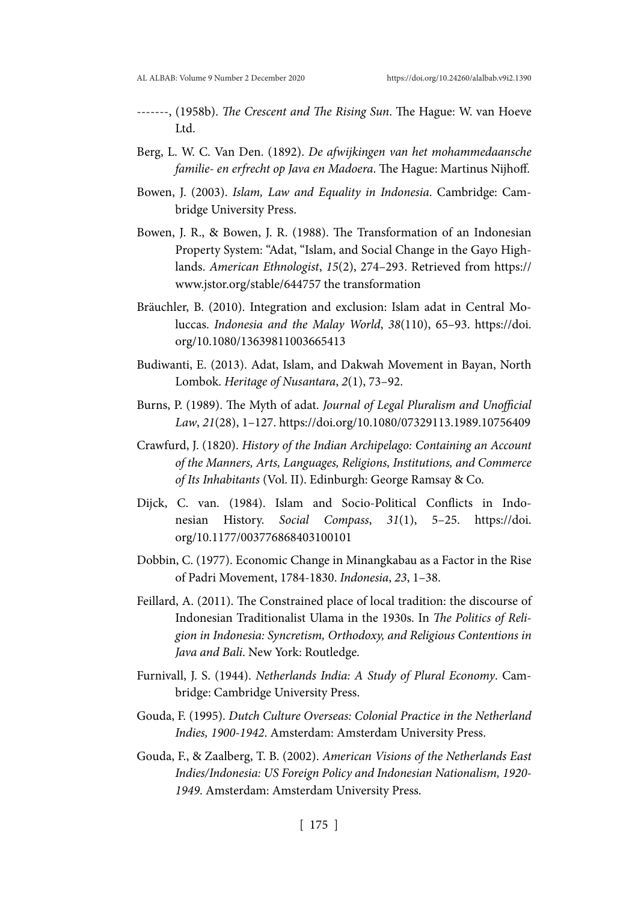- -------, (1958b). *The Crescent and The Rising Sun*. The Hague: W. van Hoeve Ltd.
- Berg, L. W. C. Van Den. (1892). *De afwijkingen van het mohammedaansche familie- en erfrecht op Java en Madoera*. The Hague: Martinus Nijhoff.
- Bowen, J. (2003). *Islam, Law and Equality in Indonesia*. Cambridge: Cambridge University Press.
- Bowen, J. R., & Bowen, J. R. (1988). The Transformation of an Indonesian Property System: "Adat, "Islam, and Social Change in the Gayo Highlands. *American Ethnologist*, *15*(2), 274–293. Retrieved from https:// www.jstor.org/stable/644757 the transformation
- Bräuchler, B. (2010). Integration and exclusion: Islam adat in Central Moluccas. *Indonesia and the Malay World*, *38*(110), 65–93. https://doi. org/10.1080/13639811003665413
- Budiwanti, E. (2013). Adat, Islam, and Dakwah Movement in Bayan, North Lombok. *Heritage of Nusantara*, *2*(1), 73–92.
- Burns, P. (1989). The Myth of adat. *Journal of Legal Pluralism and Unofficial Law*, *21*(28), 1–127. https://doi.org/10.1080/07329113.1989.10756409
- Crawfurd, J. (1820). *History of the Indian Archipelago: Containing an Account of the Manners, Arts, Languages, Religions, Institutions, and Commerce of Its Inhabitants* (Vol. II). Edinburgh: George Ramsay & Co.
- Dijck, C. van. (1984). Islam and Socio-Political Conflicts in Indonesian History. *Social Compass*, *31*(1), 5–25. https://doi. org/10.1177/003776868403100101
- Dobbin, C. (1977). Economic Change in Minangkabau as a Factor in the Rise of Padri Movement, 1784-1830. *Indonesia*, *23*, 1–38.
- Feillard, A. (2011). The Constrained place of local tradition: the discourse of Indonesian Traditionalist Ulama in the 1930s. In *The Politics of Religion in Indonesia: Syncretism, Orthodoxy, and Religious Contentions in Java and Bali*. New York: Routledge.
- Furnivall, J. S. (1944). *Netherlands India: A Study of Plural Economy*. Cambridge: Cambridge University Press.
- Gouda, F. (1995). *Dutch Culture Overseas: Colonial Practice in the Netherland Indies, 1900-1942*. Amsterdam: Amsterdam University Press.
- Gouda, F., & Zaalberg, T. B. (2002). *American Visions of the Netherlands East Indies/Indonesia: US Foreign Policy and Indonesian Nationalism, 1920- 1949*. Amsterdam: Amsterdam University Press.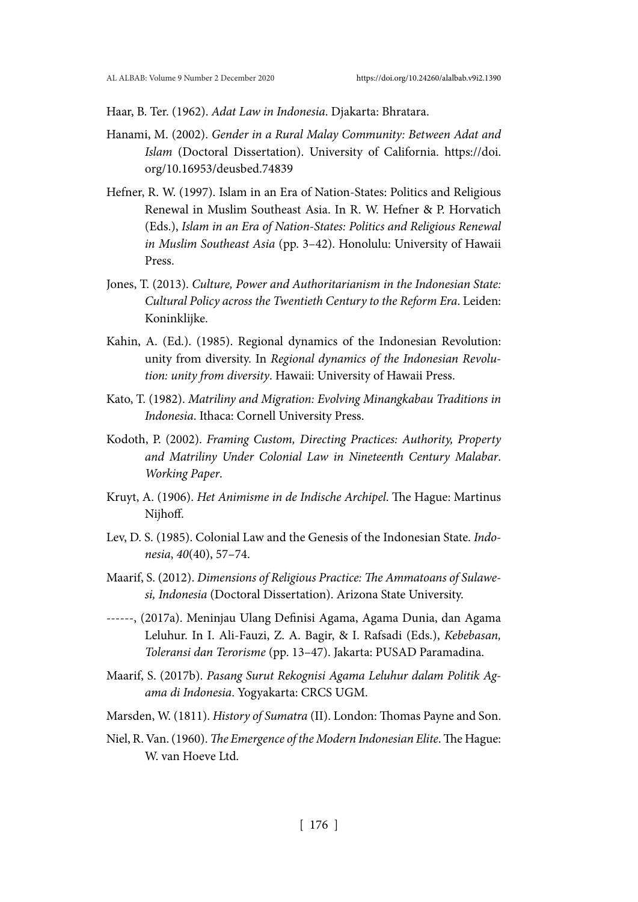Haar, B. Ter. (1962). *Adat Law in Indonesia*. Djakarta: Bhratara.

- Hanami, M. (2002). *Gender in a Rural Malay Community: Between Adat and Islam* (Doctoral Dissertation). University of California. https://doi. org/10.16953/deusbed.74839
- Hefner, R. W. (1997). Islam in an Era of Nation-States: Politics and Religious Renewal in Muslim Southeast Asia. In R. W. Hefner & P. Horvatich (Eds.), *Islam in an Era of Nation-States: Politics and Religious Renewal in Muslim Southeast Asia* (pp. 3–42). Honolulu: University of Hawaii Press.
- Jones, T. (2013). *Culture, Power and Authoritarianism in the Indonesian State: Cultural Policy across the Twentieth Century to the Reform Era*. Leiden: Koninklijke.
- Kahin, A. (Ed.). (1985). Regional dynamics of the Indonesian Revolution: unity from diversity. In *Regional dynamics of the Indonesian Revolution: unity from diversity*. Hawaii: University of Hawaii Press.
- Kato, T. (1982). *Matriliny and Migration: Evolving Minangkabau Traditions in Indonesia*. Ithaca: Cornell University Press.
- Kodoth, P. (2002). *Framing Custom, Directing Practices: Authority, Property and Matriliny Under Colonial Law in Nineteenth Century Malabar*. *Working Paper*.
- Kruyt, A. (1906). *Het Animisme in de Indische Archipel*. The Hague: Martinus Nijhoff.
- Lev, D. S. (1985). Colonial Law and the Genesis of the Indonesian State. *Indonesia*, *40*(40), 57–74.
- Maarif, S. (2012). *Dimensions of Religious Practice: The Ammatoans of Sulawesi, Indonesia* (Doctoral Dissertation). Arizona State University.
- ------, (2017a). Meninjau Ulang Definisi Agama, Agama Dunia, dan Agama Leluhur. In I. Ali-Fauzi, Z. A. Bagir, & I. Rafsadi (Eds.), *Kebebasan, Toleransi dan Terorisme* (pp. 13–47). Jakarta: PUSAD Paramadina.
- Maarif, S. (2017b). *Pasang Surut Rekognisi Agama Leluhur dalam Politik Agama di Indonesia*. Yogyakarta: CRCS UGM.
- Marsden, W. (1811). *History of Sumatra* (II). London: Thomas Payne and Son.
- Niel, R. Van. (1960). *The Emergence of the Modern Indonesian Elite*. The Hague: W. van Hoeve Ltd.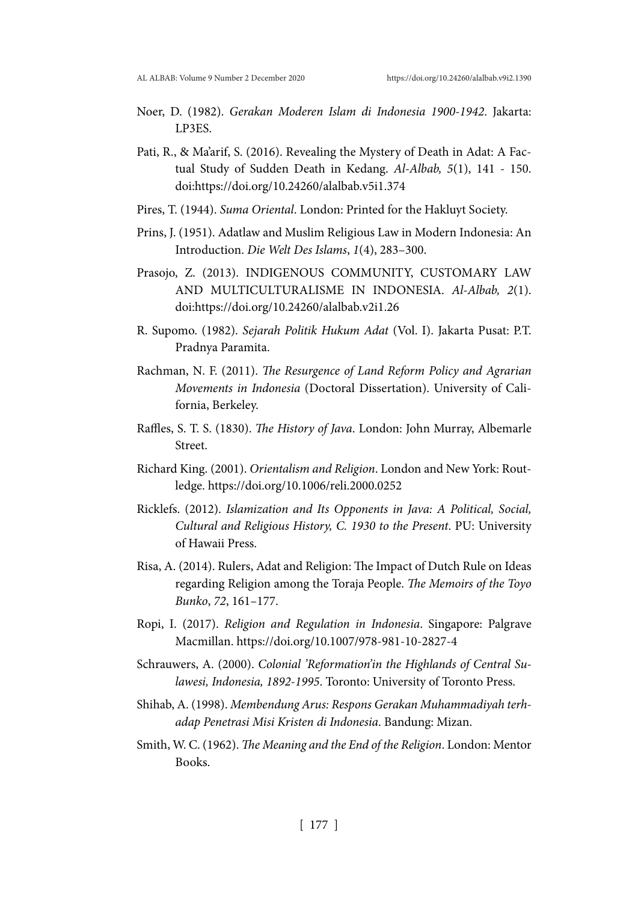- Noer, D. (1982). *Gerakan Moderen Islam di Indonesia 1900-1942*. Jakarta: LP3ES.
- Pati, R., & Ma'arif, S. (2016). Revealing the Mystery of Death in Adat: A Factual Study of Sudden Death in Kedang. *Al-Albab, 5*(1), 141 - 150. doi:https://doi.org/10.24260/alalbab.v5i1.374
- Pires, T. (1944). *Suma Oriental*. London: Printed for the Hakluyt Society.
- Prins, J. (1951). Adatlaw and Muslim Religious Law in Modern Indonesia: An Introduction. *Die Welt Des Islams*, *1*(4), 283–300.
- Prasojo, Z. (2013). INDIGENOUS COMMUNITY, CUSTOMARY LAW AND MULTICULTURALISME IN INDONESIA. *Al-Albab, 2*(1). doi:https://doi.org/10.24260/alalbab.v2i1.26
- R. Supomo. (1982). *Sejarah Politik Hukum Adat* (Vol. I). Jakarta Pusat: P.T. Pradnya Paramita.
- Rachman, N. F. (2011). *The Resurgence of Land Reform Policy and Agrarian Movements in Indonesia* (Doctoral Dissertation). University of California, Berkeley.
- Raffles, S. T. S. (1830). *The History of Java*. London: John Murray, Albemarle Street.
- Richard King. (2001). *Orientalism and Religion*. London and New York: Routledge. https://doi.org/10.1006/reli.2000.0252
- Ricklefs. (2012). *Islamization and Its Opponents in Java: A Political, Social, Cultural and Religious History, C. 1930 to the Present*. PU: University of Hawaii Press.
- Risa, A. (2014). Rulers, Adat and Religion: The Impact of Dutch Rule on Ideas regarding Religion among the Toraja People. *The Memoirs of the Toyo Bunko*, *72*, 161–177.
- Ropi, I. (2017). *Religion and Regulation in Indonesia*. Singapore: Palgrave Macmillan. https://doi.org/10.1007/978-981-10-2827-4
- Schrauwers, A. (2000). *Colonial 'Reformation'in the Highlands of Central Sulawesi, Indonesia, 1892-1995*. Toronto: University of Toronto Press.
- Shihab, A. (1998). *Membendung Arus: Respons Gerakan Muhammadiyah terhadap Penetrasi Misi Kristen di Indonesia*. Bandung: Mizan.
- Smith, W. C. (1962). *The Meaning and the End of the Religion*. London: Mentor Books.